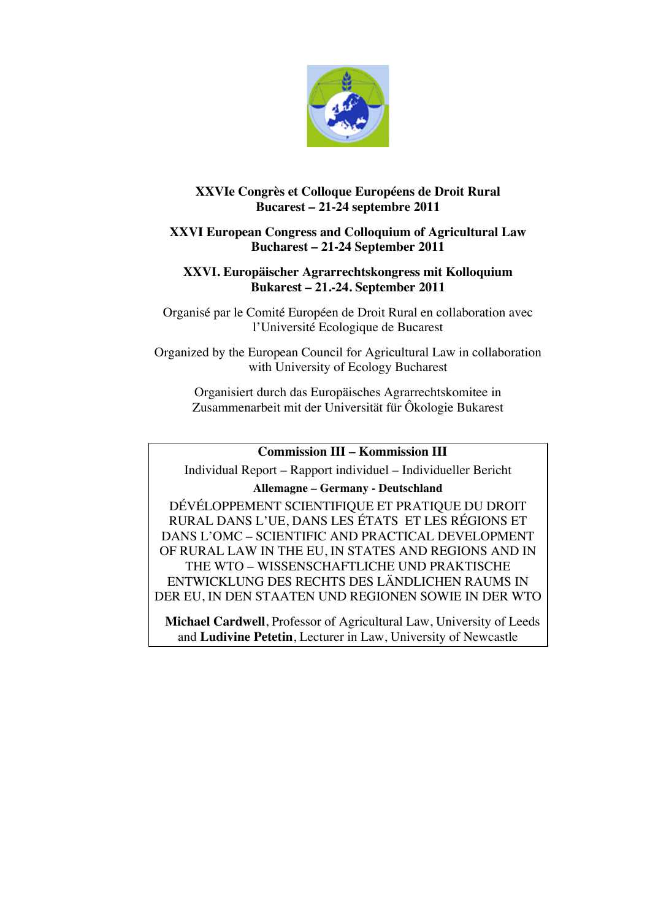

# **XXVIe Congrès et Colloque Européens de Droit Rural Bucarest – 21-24 septembre 2011**

# **XXVI European Congress and Colloquium of Agricultural Law Bucharest – 21-24 September 2011**

# **XXVI. Europäischer Agrarrechtskongress mit Kolloquium Bukarest – 21.-24. September 2011**

Organisé par le Comité Européen de Droit Rural en collaboration avec l'Université Ecologique de Bucarest

Organized by the European Council for Agricultural Law in collaboration with University of Ecology Bucharest

Organisiert durch das Europäisches Agrarrechtskomitee in Zusammenarbeit mit der Universität für Ôkologie Bukarest

### **Commission III – Kommission III**

Individual Report – Rapport individuel – Individueller Bericht

### **Allemagne – Germany - Deutschland**

DÉVÉLOPPEMENT SCIENTIFIQUE ET PRATIQUE DU DROIT RURAL DANS L'UE, DANS LES ÉTATS ET LES RÉGIONS ET DANS L'OMC – SCIENTIFIC AND PRACTICAL DEVELOPMENT OF RURAL LAW IN THE EU, IN STATES AND REGIONS AND IN THE WTO – WISSENSCHAFTLICHE UND PRAKTISCHE ENTWICKLUNG DES RECHTS DES LÄNDLICHEN RAUMS IN DER EU, IN DEN STAATEN UND REGIONEN SOWIE IN DER WTO

**Michael Cardwell**, Professor of Agricultural Law, University of Leeds and **Ludivine Petetin**, Lecturer in Law, University of Newcastle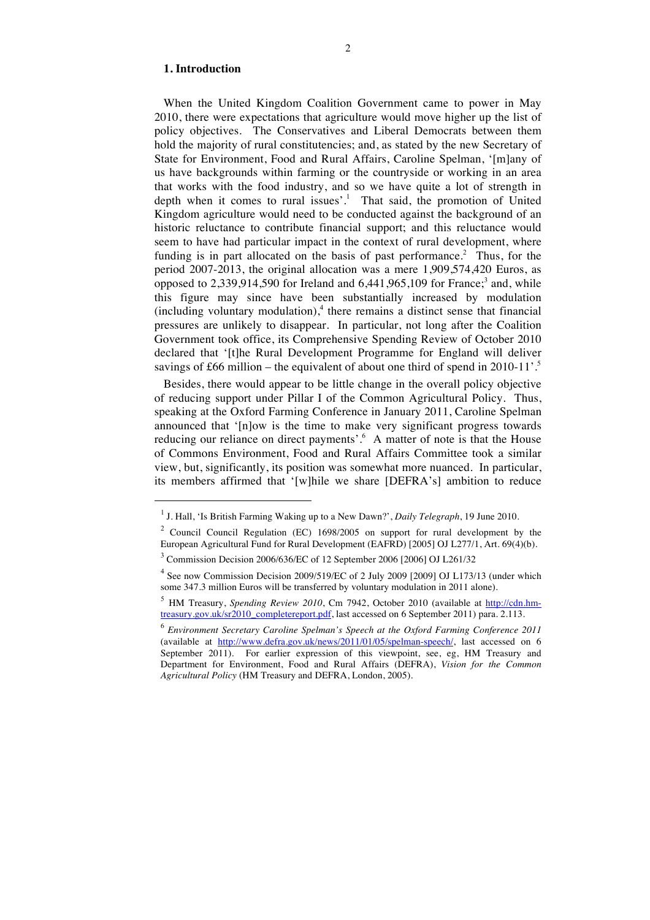#### **1. Introduction**

 $\overline{a}$ 

When the United Kingdom Coalition Government came to power in May 2010, there were expectations that agriculture would move higher up the list of policy objectives. The Conservatives and Liberal Democrats between them hold the majority of rural constitutencies; and, as stated by the new Secretary of State for Environment, Food and Rural Affairs, Caroline Spelman, '[m]any of us have backgrounds within farming or the countryside or working in an area that works with the food industry, and so we have quite a lot of strength in depth when it comes to rural issues'. <sup>1</sup> That said, the promotion of United Kingdom agriculture would need to be conducted against the background of an historic reluctance to contribute financial support; and this reluctance would seem to have had particular impact in the context of rural development, where funding is in part allocated on the basis of past performance.<sup>2</sup> Thus, for the period 2007-2013, the original allocation was a mere 1,909,574,420 Euros, as opposed to  $2,339,914,590$  for Ireland and  $6,441,965,109$  for France;<sup>3</sup> and, while this figure may since have been substantially increased by modulation (including voluntary modulation), 4 there remains a distinct sense that financial pressures are unlikely to disappear. In particular, not long after the Coalition Government took office, its Comprehensive Spending Review of October 2010 declared that '[t]he Rural Development Programme for England will deliver savings of £66 million – the equivalent of about one third of spend in 2010-11'.<sup>5</sup>

Besides, there would appear to be little change in the overall policy objective of reducing support under Pillar I of the Common Agricultural Policy. Thus, speaking at the Oxford Farming Conference in January 2011, Caroline Spelman announced that '[n]ow is the time to make very significant progress towards reducing our reliance on direct payments'.<sup>6</sup> A matter of note is that the House of Commons Environment, Food and Rural Affairs Committee took a similar view, but, significantly, its position was somewhat more nuanced. In particular, its members affirmed that '[w]hile we share [DEFRA's] ambition to reduce

<sup>1</sup> J. Hall, 'Is British Farming Waking up to a New Dawn?', *Daily Telegraph*, 19 June 2010.

<sup>2</sup> Council Council Regulation (EC) 1698/2005 on support for rural development by the European Agricultural Fund for Rural Development (EAFRD) [2005] OJ L277/1, Art. 69(4)(b).

<sup>3</sup> Commission Decision 2006/636/EC of 12 September 2006 [2006] OJ L261/32

<sup>&</sup>lt;sup>4</sup> See now Commission Decision 2009/519/EC of 2 July 2009 [2009] OJ L173/13 (under which some 347.3 million Euros will be transferred by voluntary modulation in 2011 alone).

<sup>&</sup>lt;sup>5</sup> HM Treasury, *Spending Review 2010*, Cm 7942, October 2010 (available at http://cdn.hmtreasury.gov.uk/sr2010\_completereport.pdf, last accessed on 6 September 2011) para. 2.113.

<sup>6</sup> *Environment Secretary Caroline Spelman's Speech at the Oxford Farming Conference 2011* (available at http://www.defra.gov.uk/news/2011/01/05/spelman-speech/, last accessed on 6 September 2011). For earlier expression of this viewpoint, see, eg, HM Treasury and Department for Environment, Food and Rural Affairs (DEFRA), *Vision for the Common Agricultural Policy* (HM Treasury and DEFRA, London, 2005).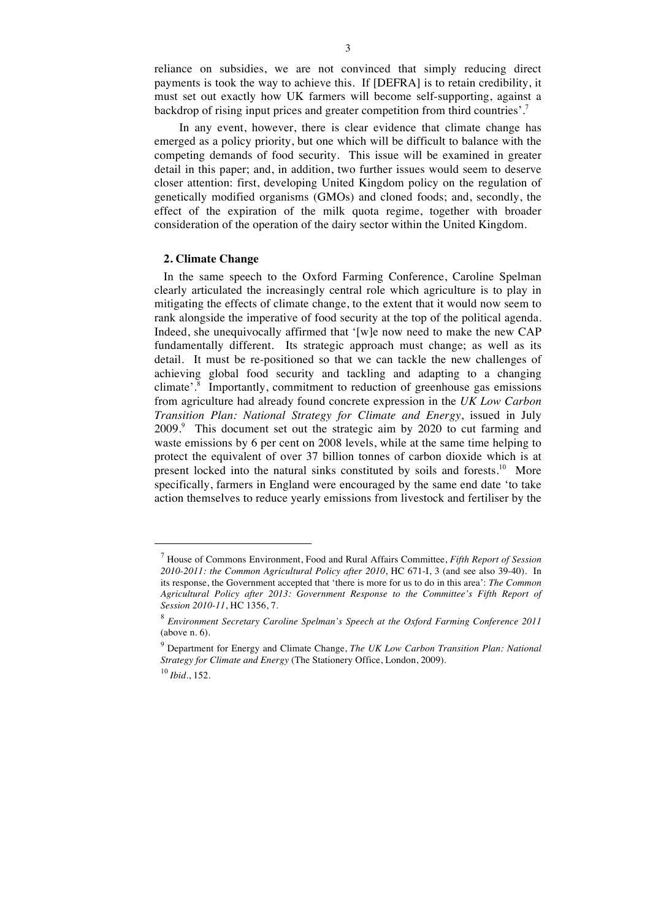reliance on subsidies, we are not convinced that simply reducing direct payments is took the way to achieve this. If [DEFRA] is to retain credibility, it must set out exactly how UK farmers will become self-supporting, against a backdrop of rising input prices and greater competition from third countries'.<sup>7</sup>

3

In any event, however, there is clear evidence that climate change has emerged as a policy priority, but one which will be difficult to balance with the competing demands of food security. This issue will be examined in greater detail in this paper; and, in addition, two further issues would seem to deserve closer attention: first, developing United Kingdom policy on the regulation of genetically modified organisms (GMOs) and cloned foods; and, secondly, the effect of the expiration of the milk quota regime, together with broader consideration of the operation of the dairy sector within the United Kingdom.

#### **2. Climate Change**

In the same speech to the Oxford Farming Conference, Caroline Spelman clearly articulated the increasingly central role which agriculture is to play in mitigating the effects of climate change, to the extent that it would now seem to rank alongside the imperative of food security at the top of the political agenda. Indeed, she unequivocally affirmed that '[w]e now need to make the new CAP fundamentally different. Its strategic approach must change; as well as its detail. It must be re-positioned so that we can tackle the new challenges of achieving global food security and tackling and adapting to a changing climate'.<sup>8</sup> Importantly, commitment to reduction of greenhouse gas emissions from agriculture had already found concrete expression in the *UK Low Carbon Transition Plan: National Strategy for Climate and Energy*, issued in July 2009.<sup>9</sup> This document set out the strategic aim by 2020 to cut farming and waste emissions by 6 per cent on 2008 levels, while at the same time helping to protect the equivalent of over 37 billion tonnes of carbon dioxide which is at present locked into the natural sinks constituted by soils and forests.<sup>10</sup> More specifically, farmers in England were encouraged by the same end date 'to take action themselves to reduce yearly emissions from livestock and fertiliser by the

<sup>10</sup> *Ibid.*, 152.

<sup>7</sup> House of Commons Environment, Food and Rural Affairs Committee, *Fifth Report of Session 2010-2011: the Common Agricultural Policy after 2010*, HC 671-I, 3 (and see also 39-40). In its response, the Government accepted that 'there is more for us to do in this area': *The Common Agricultural Policy after 2013: Government Response to the Committee's Fifth Report of Session 2010-11*, HC 1356, 7.

<sup>8</sup> *Environment Secretary Caroline Spelman's Speech at the Oxford Farming Conference 2011* (above n. 6).

<sup>9</sup> Department for Energy and Climate Change, *The UK Low Carbon Transition Plan: National Strategy for Climate and Energy* (The Stationery Office, London, 2009).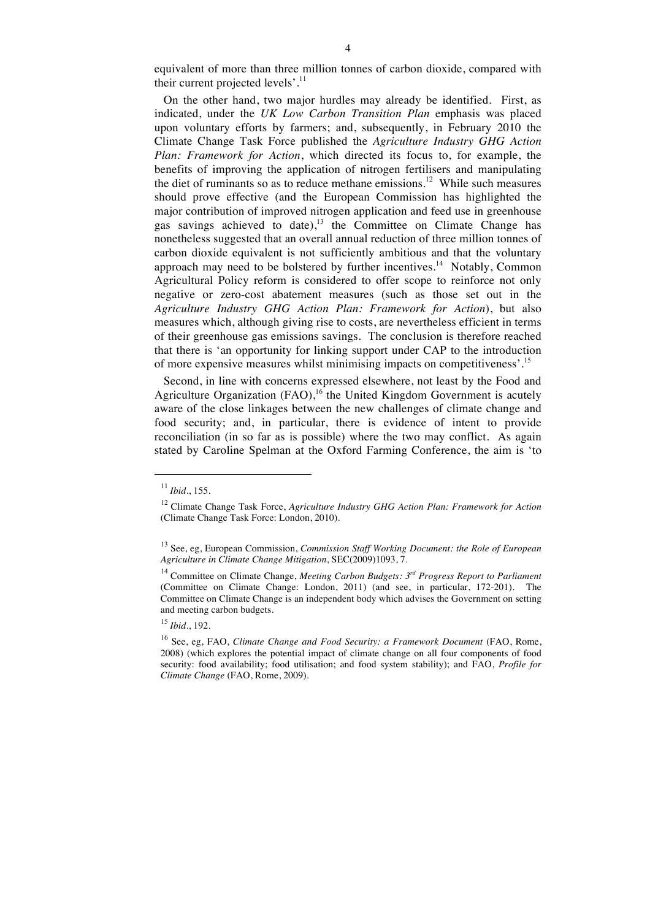equivalent of more than three million tonnes of carbon dioxide, compared with their current projected levels'. $^{11}$ 

On the other hand, two major hurdles may already be identified. First, as indicated, under the *UK Low Carbon Transition Plan* emphasis was placed upon voluntary efforts by farmers; and, subsequently, in February 2010 the Climate Change Task Force published the *Agriculture Industry GHG Action Plan: Framework for Action*, which directed its focus to, for example, the benefits of improving the application of nitrogen fertilisers and manipulating the diet of ruminants so as to reduce methane emissions.<sup>12</sup> While such measures should prove effective (and the European Commission has highlighted the major contribution of improved nitrogen application and feed use in greenhouse gas savings achieved to date),<sup>13</sup> the Committee on Climate Change has nonetheless suggested that an overall annual reduction of three million tonnes of carbon dioxide equivalent is not sufficiently ambitious and that the voluntary approach may need to be bolstered by further incentives.<sup>14</sup> Notably, Common Agricultural Policy reform is considered to offer scope to reinforce not only negative or zero-cost abatement measures (such as those set out in the *Agriculture Industry GHG Action Plan: Framework for Action*), but also measures which, although giving rise to costs, are nevertheless efficient in terms of their greenhouse gas emissions savings. The conclusion is therefore reached that there is 'an opportunity for linking support under CAP to the introduction of more expensive measures whilst minimising impacts on competitiveness'.<sup>15</sup>

Second, in line with concerns expressed elsewhere, not least by the Food and Agriculture Organization  $(FAO)$ ,<sup>16</sup> the United Kingdom Government is acutely aware of the close linkages between the new challenges of climate change and food security; and, in particular, there is evidence of intent to provide reconciliation (in so far as is possible) where the two may conflict. As again stated by Caroline Spelman at the Oxford Farming Conference, the aim is 'to

<sup>11</sup> *Ibid.*, 155.

<sup>12</sup> Climate Change Task Force, *Agriculture Industry GHG Action Plan: Framework for Action* (Climate Change Task Force: London, 2010).

<sup>13</sup> See, eg, European Commission, *Commission Staff Working Document: the Role of European Agriculture in Climate Change Mitigation*, SEC(2009)1093, 7.

<sup>14</sup> Committee on Climate Change, *Meeting Carbon Budgets: 3rd Progress Report to Parliament*  (Committee on Climate Change: London, 2011) (and see, in particular, 172-201). The Committee on Climate Change is an independent body which advises the Government on setting and meeting carbon budgets.

<sup>15</sup> *Ibid.*, 192.

<sup>&</sup>lt;sup>16</sup> See, eg, FAO, *Climate Change and Food Security: a Framework Document* (FAO, Rome, 2008) (which explores the potential impact of climate change on all four components of food security: food availability; food utilisation; and food system stability); and FAO, *Profile for Climate Change* (FAO, Rome, 2009).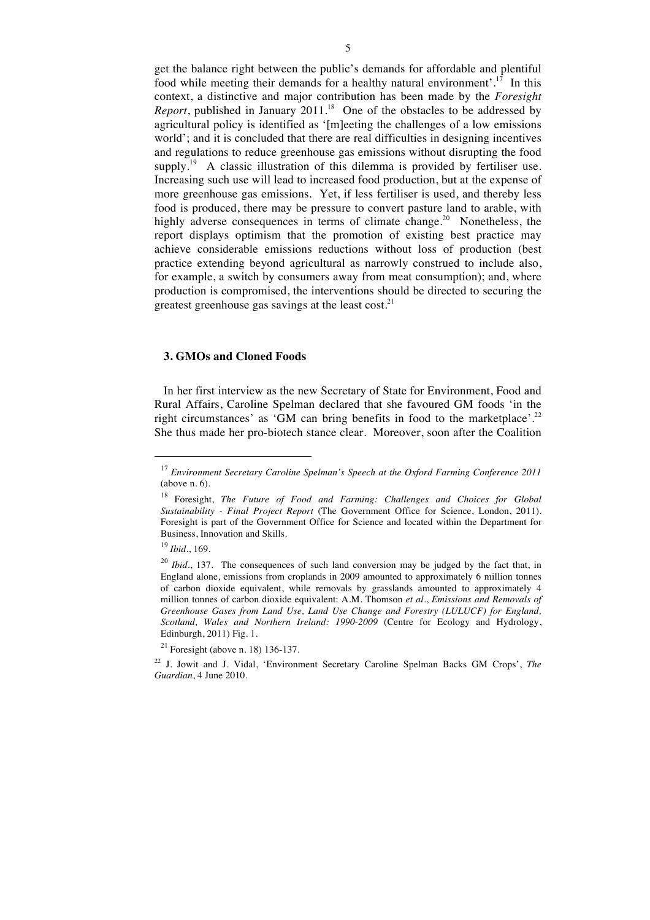get the balance right between the public's demands for affordable and plentiful food while meeting their demands for a healthy natural environment'.<sup>17</sup> In this context, a distinctive and major contribution has been made by the *Foresight Report*, published in January 2011.<sup>18</sup> One of the obstacles to be addressed by agricultural policy is identified as '[m]eeting the challenges of a low emissions world'; and it is concluded that there are real difficulties in designing incentives and regulations to reduce greenhouse gas emissions without disrupting the food supply.<sup>19</sup> A classic illustration of this dilemma is provided by fertiliser use. Increasing such use will lead to increased food production, but at the expense of more greenhouse gas emissions. Yet, if less fertiliser is used, and thereby less food is produced, there may be pressure to convert pasture land to arable, with highly adverse consequences in terms of climate change.<sup>20</sup> Nonetheless, the report displays optimism that the promotion of existing best practice may achieve considerable emissions reductions without loss of production (best practice extending beyond agricultural as narrowly construed to include also, for example, a switch by consumers away from meat consumption); and, where production is compromised, the interventions should be directed to securing the greatest greenhouse gas savings at the least cost. $21$ 

#### **3. GMOs and Cloned Foods**

In her first interview as the new Secretary of State for Environment, Food and Rural Affairs, Caroline Spelman declared that she favoured GM foods 'in the right circumstances' as 'GM can bring benefits in food to the marketplace'.<sup>22</sup> She thus made her pro-biotech stance clear. Moreover, soon after the Coalition

<sup>17</sup> *Environment Secretary Caroline Spelman's Speech at the Oxford Farming Conference 2011* (above n. 6).

<sup>18</sup> Foresight, *The Future of Food and Farming: Challenges and Choices for Global Sustainability - Final Project Report* (The Government Office for Science, London, 2011). Foresight is part of the Government Office for Science and located within the Department for Business, Innovation and Skills.

<sup>19</sup> *Ibid.*, 169.

<sup>&</sup>lt;sup>20</sup> *Ibid.*, 137. The consequences of such land conversion may be judged by the fact that, in England alone, emissions from croplands in 2009 amounted to approximately 6 million tonnes of carbon dioxide equivalent, while removals by grasslands amounted to approximately 4 million tonnes of carbon dioxide equivalent: A.M. Thomson *et al.*, *Emissions and Removals of Greenhouse Gases from Land Use, Land Use Change and Forestry (LULUCF) for England, Scotland, Wales and Northern Ireland: 1990-2009* (Centre for Ecology and Hydrology, Edinburgh, 2011) Fig. 1.

 $21$  Foresight (above n. 18) 136-137.

<sup>22</sup> J. Jowit and J. Vidal, 'Environment Secretary Caroline Spelman Backs GM Crops', *The Guardian*, 4 June 2010.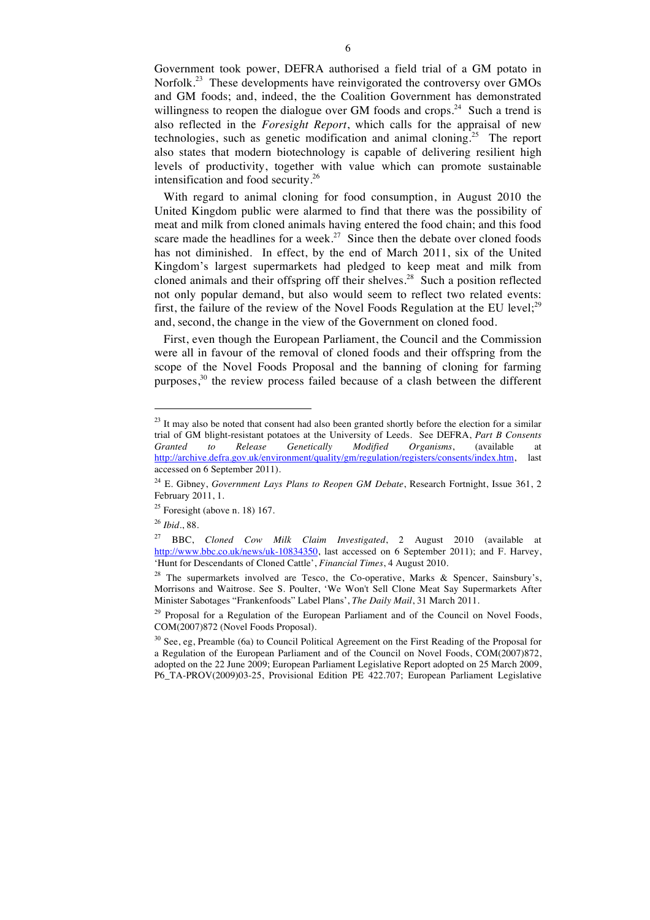Government took power, DEFRA authorised a field trial of a GM potato in Norfolk.<sup>23</sup> These developments have reinvigorated the controversy over GMOs and GM foods; and, indeed, the the Coalition Government has demonstrated willingness to reopen the dialogue over GM foods and crops.<sup>24</sup> Such a trend is also reflected in the *Foresight Report*, which calls for the appraisal of new technologies, such as genetic modification and animal cloning.<sup>25</sup> The report also states that modern biotechnology is capable of delivering resilient high levels of productivity, together with value which can promote sustainable intensification and food security.26

With regard to animal cloning for food consumption, in August 2010 the United Kingdom public were alarmed to find that there was the possibility of meat and milk from cloned animals having entered the food chain; and this food scare made the headlines for a week.<sup>27</sup> Since then the debate over cloned foods has not diminished. In effect, by the end of March 2011, six of the United Kingdom's largest supermarkets had pledged to keep meat and milk from cloned animals and their offspring off their shelves.<sup>28</sup> Such a position reflected not only popular demand, but also would seem to reflect two related events: first, the failure of the review of the Novel Foods Regulation at the EU level;<sup>29</sup> and, second, the change in the view of the Government on cloned food.

First, even though the European Parliament, the Council and the Commission were all in favour of the removal of cloned foods and their offspring from the scope of the Novel Foods Proposal and the banning of cloning for farming purposes,<sup>30</sup> the review process failed because of a clash between the different

 $^{23}$  It may also be noted that consent had also been granted shortly before the election for a similar trial of GM blight-resistant potatoes at the University of Leeds. See DEFRA, *Part B Consents Granted to Release Genetically Modified Organisms*, (available at http://archive.defra.gov.uk/environment/quality/gm/regulation/registers/consents/index.htm, last accessed on 6 September 2011).

<sup>24</sup> E. Gibney, *Government Lays Plans to Reopen GM Debate*, Research Fortnight, Issue 361, 2 February 2011, 1.

 $25$  Foresight (above n. 18) 167.

<sup>26</sup> *Ibid.*, 88.

<sup>27</sup> BBC, *Cloned Cow Milk Claim Investigated*, 2 August 2010 (available at http://www.bbc.co.uk/news/uk-10834350, last accessed on 6 September 2011); and F. Harvey, 'Hunt for Descendants of Cloned Cattle', *Financial Times*, 4 August 2010.

<sup>&</sup>lt;sup>28</sup> The supermarkets involved are Tesco, the Co-operative, Marks & Spencer, Sainsbury's, Morrisons and Waitrose. See S. Poulter, 'We Won't Sell Clone Meat Say Supermarkets After Minister Sabotages "Frankenfoods" Label Plans', *The Daily Mail*, 31 March 2011.

<sup>&</sup>lt;sup>29</sup> Proposal for a Regulation of the European Parliament and of the Council on Novel Foods, COM(2007)872 (Novel Foods Proposal).

<sup>&</sup>lt;sup>30</sup> See, eg, Preamble (6a) to Council Political Agreement on the First Reading of the Proposal for a Regulation of the European Parliament and of the Council on Novel Foods, COM(2007)872, adopted on the 22 June 2009; European Parliament Legislative Report adopted on 25 March 2009, P6\_TA-PROV(2009)03-25, Provisional Edition PE 422.707; European Parliament Legislative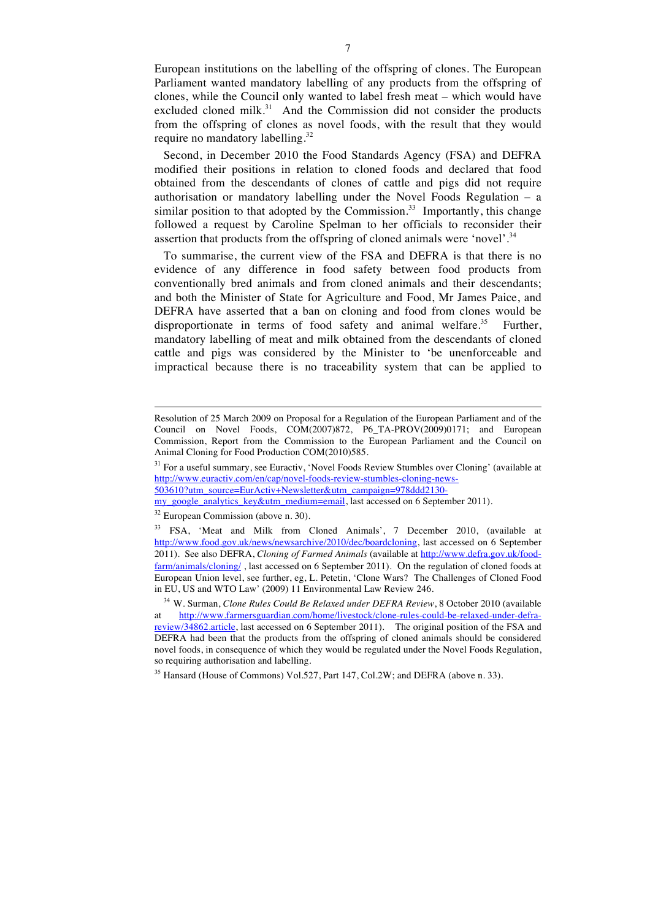European institutions on the labelling of the offspring of clones. The European Parliament wanted mandatory labelling of any products from the offspring of clones, while the Council only wanted to label fresh meat – which would have excluded cloned milk.<sup>31</sup> And the Commission did not consider the products from the offspring of clones as novel foods, with the result that they would require no mandatory labelling.<sup>32</sup>

Second, in December 2010 the Food Standards Agency (FSA) and DEFRA modified their positions in relation to cloned foods and declared that food obtained from the descendants of clones of cattle and pigs did not require authorisation or mandatory labelling under the Novel Foods Regulation – a similar position to that adopted by the Commission.<sup>33</sup> Importantly, this change followed a request by Caroline Spelman to her officials to reconsider their assertion that products from the offspring of cloned animals were 'novel'.<sup>34</sup>

To summarise, the current view of the FSA and DEFRA is that there is no evidence of any difference in food safety between food products from conventionally bred animals and from cloned animals and their descendants; and both the Minister of State for Agriculture and Food, Mr James Paice, and DEFRA have asserted that a ban on cloning and food from clones would be disproportionate in terms of food safety and animal welfare.<sup>35</sup> Further, mandatory labelling of meat and milk obtained from the descendants of cloned cattle and pigs was considered by the Minister to 'be unenforceable and impractical because there is no traceability system that can be applied to

Resolution of 25 March 2009 on Proposal for a Regulation of the European Parliament and of the Council on Novel Foods, COM(2007)872, P6\_TA-PROV(2009)0171; and European Commission, Report from the Commission to the European Parliament and the Council on Animal Cloning for Food Production COM(2010)585.

<sup>&</sup>lt;sup>31</sup> For a useful summary, see Euractiv, 'Novel Foods Review Stumbles over Cloning' (available at http://www.euractiv.com/en/cap/novel-foods-review-stumbles-cloning-news-503610?utm\_source=EurActiv+Newsletter&utm\_campaign=978ddd2130-

my\_google\_analytics\_key&utm\_medium=email, last accessed on 6 September 2011).

<sup>32</sup> European Commission (above n. 30).

<sup>&</sup>lt;sup>33</sup> FSA. 'Meat and Milk from Cloned Animals', 7 December 2010, (available at http://www.food.gov.uk/news/newsarchive/2010/dec/boardcloning, last accessed on 6 September 2011). See also DEFRA, *Cloning of Farmed Animals* (available at http://www.defra.gov.uk/foodfarm/animals/cloning/ , last accessed on 6 September 2011). On the regulation of cloned foods at European Union level, see further, eg, L. Petetin, 'Clone Wars? The Challenges of Cloned Food in EU, US and WTO Law' (2009) 11 Environmental Law Review 246.

<sup>34</sup> W. Surman, *Clone Rules Could Be Relaxed under DEFRA Review*, 8 October 2010 (available at http://www.farmersguardian.com/home/livestock/clone-rules-could-be-relaxed-under-defrareview/34862.article, last accessed on 6 September 2011). The original position of the FSA and DEFRA had been that the products from the offspring of cloned animals should be considered novel foods, in consequence of which they would be regulated under the Novel Foods Regulation, so requiring authorisation and labelling.

<sup>&</sup>lt;sup>35</sup> Hansard (House of Commons) Vol.527, Part 147, Col.2W; and DEFRA (above n. 33).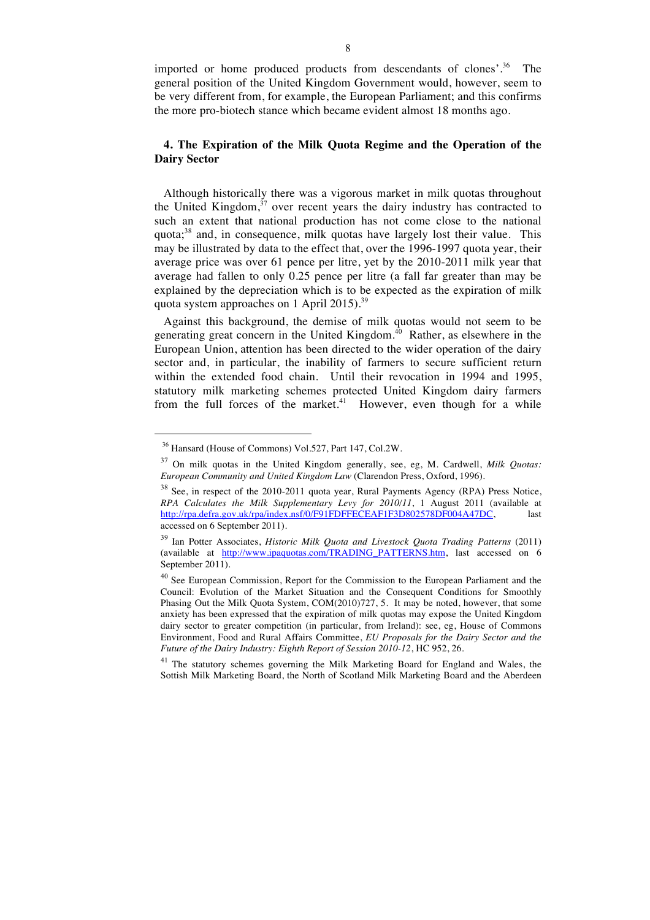imported or home produced products from descendants of clones'.<sup>36</sup> The general position of the United Kingdom Government would, however, seem to be very different from, for example, the European Parliament; and this confirms the more pro-biotech stance which became evident almost 18 months ago.

#### **4. The Expiration of the Milk Quota Regime and the Operation of the Dairy Sector**

Although historically there was a vigorous market in milk quotas throughout the United Kingdom, $37$  over recent years the dairy industry has contracted to such an extent that national production has not come close to the national quota; <sup>38</sup> and, in consequence, milk quotas have largely lost their value. This may be illustrated by data to the effect that, over the 1996-1997 quota year, their average price was over 61 pence per litre, yet by the 2010-2011 milk year that average had fallen to only 0.25 pence per litre (a fall far greater than may be explained by the depreciation which is to be expected as the expiration of milk quota system approaches on 1 April 2015).<sup>39</sup>

Against this background, the demise of milk quotas would not seem to be generating great concern in the United Kingdom. $^{40}$  Rather, as elsewhere in the European Union, attention has been directed to the wider operation of the dairy sector and, in particular, the inability of farmers to secure sufficient return within the extended food chain. Until their revocation in 1994 and 1995, statutory milk marketing schemes protected United Kingdom dairy farmers from the full forces of the market.<sup>41</sup> However, even though for a while

<sup>36</sup> Hansard (House of Commons) Vol.527, Part 147, Col.2W.

<sup>37</sup> On milk quotas in the United Kingdom generally, see, eg, M. Cardwell, *Milk Quotas: European Community and United Kingdom Law* (Clarendon Press, Oxford, 1996).

<sup>&</sup>lt;sup>38</sup> See, in respect of the 2010-2011 quota year, Rural Payments Agency (RPA) Press Notice, *RPA Calculates the Milk Supplementary Levy for 2010/11*, 1 August 2011 (available at http://rpa.defra.gov.uk/rpa/index.nsf/0/F91FDFFECEAF1F3D802578DF004A47DC, last accessed on 6 September 2011).

<sup>39</sup> Ian Potter Associates, *Historic Milk Quota and Livestock Quota Trading Patterns* (2011) (available at http://www.ipaquotas.com/TRADING\_PATTERNS.htm, last accessed on 6 September 2011).

<sup>40</sup> See European Commission, Report for the Commission to the European Parliament and the Council: Evolution of the Market Situation and the Consequent Conditions for Smoothly Phasing Out the Milk Quota System, COM(2010)727, 5. It may be noted, however, that some anxiety has been expressed that the expiration of milk quotas may expose the United Kingdom dairy sector to greater competition (in particular, from Ireland): see, eg, House of Commons Environment, Food and Rural Affairs Committee, *EU Proposals for the Dairy Sector and the Future of the Dairy Industry: Eighth Report of Session 2010-12*, HC 952, 26.

<sup>&</sup>lt;sup>41</sup> The statutory schemes governing the Milk Marketing Board for England and Wales, the Sottish Milk Marketing Board, the North of Scotland Milk Marketing Board and the Aberdeen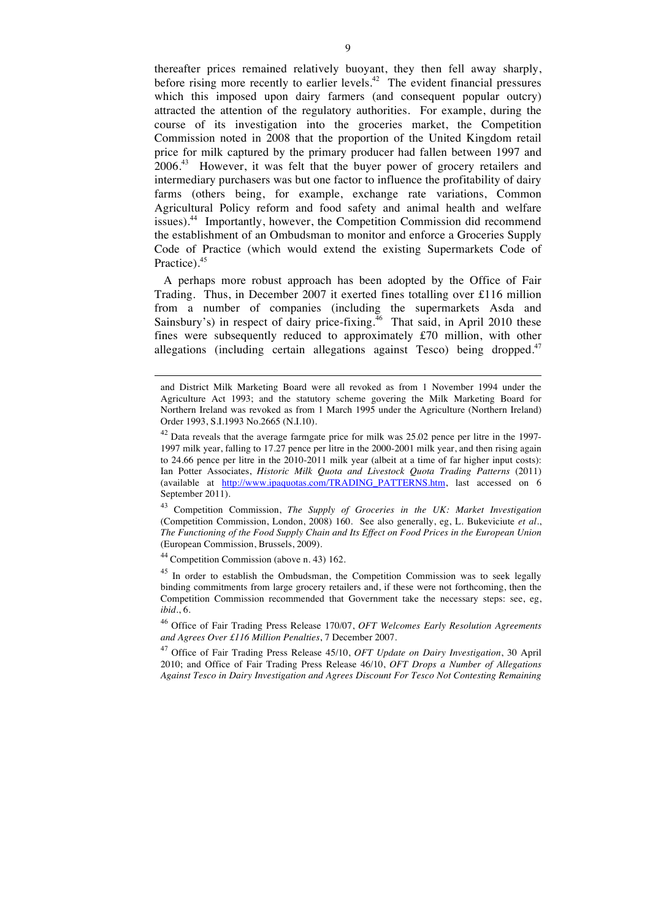thereafter prices remained relatively buoyant, they then fell away sharply, before rising more recently to earlier levels.<sup>42</sup> The evident financial pressures which this imposed upon dairy farmers (and consequent popular outcry) attracted the attention of the regulatory authorities. For example, during the course of its investigation into the groceries market, the Competition Commission noted in 2008 that the proportion of the United Kingdom retail price for milk captured by the primary producer had fallen between 1997 and 2006.<sup>43</sup> However, it was felt that the buyer power of grocery retailers and intermediary purchasers was but one factor to influence the profitability of dairy farms (others being, for example, exchange rate variations, Common Agricultural Policy reform and food safety and animal health and welfare issues).<sup>44</sup> Importantly, however, the Competition Commission did recommend the establishment of an Ombudsman to monitor and enforce a Groceries Supply Code of Practice (which would extend the existing Supermarkets Code of Practice).<sup>45</sup>

A perhaps more robust approach has been adopted by the Office of Fair Trading. Thus, in December 2007 it exerted fines totalling over £116 million from a number of companies (including the supermarkets Asda and Sainsbury's) in respect of dairy price-fixing.<sup>46</sup> That said, in April 2010 these fines were subsequently reduced to approximately £70 million, with other allegations (including certain allegations against Tesco) being dropped.<sup>47</sup>

<sup>43</sup> Competition Commission, *The Supply of Groceries in the UK: Market Investigation* (Competition Commission, London, 2008) 160. See also generally, eg, L. Bukeviciute *et al.*, *The Functioning of the Food Supply Chain and Its Effect on Food Prices in the European Union* (European Commission, Brussels, 2009).

<sup>44</sup> Competition Commission (above n. 43) 162.

 $\ddot{ }$ 

<sup>45</sup> In order to establish the Ombudsman, the Competition Commission was to seek legally binding commitments from large grocery retailers and, if these were not forthcoming, then the Competition Commission recommended that Government take the necessary steps: see, eg, *ibid.*, 6.

and District Milk Marketing Board were all revoked as from 1 November 1994 under the Agriculture Act 1993; and the statutory scheme govering the Milk Marketing Board for Northern Ireland was revoked as from 1 March 1995 under the Agriculture (Northern Ireland) Order 1993, S.I.1993 No.2665 (N.I.10).

 $42$  Data reveals that the average farmgate price for milk was  $25.02$  pence per litre in the 1997-1997 milk year, falling to 17.27 pence per litre in the 2000-2001 milk year, and then rising again to 24.66 pence per litre in the 2010-2011 milk year (albeit at a time of far higher input costs): Ian Potter Associates, *Historic Milk Quota and Livestock Quota Trading Patterns* (2011) (available at http://www.ipaquotas.com/TRADING\_PATTERNS.htm, last accessed on 6 September 2011).

<sup>46</sup> Office of Fair Trading Press Release 170/07, *OFT Welcomes Early Resolution Agreements and Agrees Over £116 Million Penalties*, 7 December 2007.

<sup>47</sup> Office of Fair Trading Press Release 45/10, *OFT Update on Dairy Investigation*, 30 April 2010; and Office of Fair Trading Press Release 46/10, *OFT Drops a Number of Allegations Against Tesco in Dairy Investigation and Agrees Discount For Tesco Not Contesting Remaining*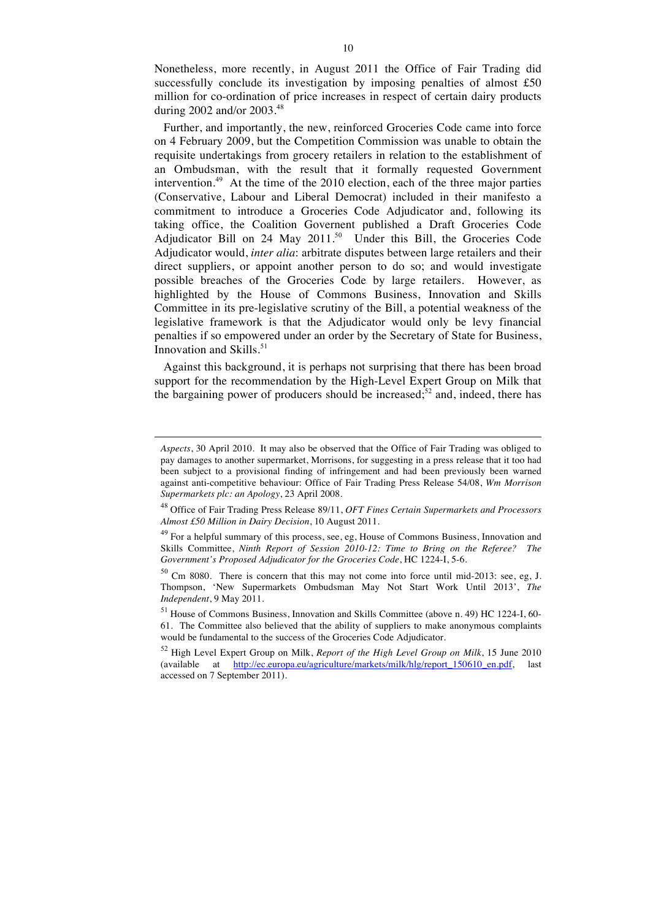Nonetheless, more recently, in August 2011 the Office of Fair Trading did successfully conclude its investigation by imposing penalties of almost £50 million for co-ordination of price increases in respect of certain dairy products during 2002 and/or 2003.<sup>48</sup>

Further, and importantly, the new, reinforced Groceries Code came into force on 4 February 2009, but the Competition Commission was unable to obtain the requisite undertakings from grocery retailers in relation to the establishment of an Ombudsman, with the result that it formally requested Government intervention.<sup>49</sup> At the time of the 2010 election, each of the three major parties (Conservative, Labour and Liberal Democrat) included in their manifesto a commitment to introduce a Groceries Code Adjudicator and, following its taking office, the Coalition Governent published a Draft Groceries Code Adjudicator Bill on 24 May 2011.<sup>50</sup> Under this Bill, the Groceries Code Adjudicator would, *inter alia*: arbitrate disputes between large retailers and their direct suppliers, or appoint another person to do so; and would investigate possible breaches of the Groceries Code by large retailers. However, as highlighted by the House of Commons Business, Innovation and Skills Committee in its pre-legislative scrutiny of the Bill, a potential weakness of the legislative framework is that the Adjudicator would only be levy financial penalties if so empowered under an order by the Secretary of State for Business, Innovation and Skills. <sup>51</sup>

Against this background, it is perhaps not surprising that there has been broad support for the recommendation by the High-Level Expert Group on Milk that the bargaining power of producers should be increased; $52$  and, indeed, there has

*Aspects*, 30 April 2010. It may also be observed that the Office of Fair Trading was obliged to pay damages to another supermarket, Morrisons, for suggesting in a press release that it too had been subject to a provisional finding of infringement and had been previously been warned against anti-competitive behaviour: Office of Fair Trading Press Release 54/08, *Wm Morrison Supermarkets plc: an Apology*, 23 April 2008.

<sup>48</sup> Office of Fair Trading Press Release 89/11, *OFT Fines Certain Supermarkets and Processors Almost £50 Million in Dairy Decision*, 10 August 2011.

<sup>&</sup>lt;sup>49</sup> For a helpful summary of this process, see, eg, House of Commons Business, Innovation and Skills Committee, *Ninth Report of Session 2010-12: Time to Bring on the Referee? The Government's Proposed Adjudicator for the Groceries Code*, HC 1224-I, 5-6.

<sup>50</sup> Cm 8080. There is concern that this may not come into force until mid-2013: see, eg, J. Thompson, 'New Supermarkets Ombudsman May Not Start Work Until 2013', *The Independent*, 9 May 2011.

<sup>51</sup> House of Commons Business, Innovation and Skills Committee (above n. 49) HC 1224-I, 60- 61. The Committee also believed that the ability of suppliers to make anonymous complaints would be fundamental to the success of the Groceries Code Adjudicator.

<sup>52</sup> High Level Expert Group on Milk, *Report of the High Level Group on Milk*, 15 June 2010 (available at http://ec.europa.eu/agriculture/markets/milk/hlg/report\_150610\_en.pdf, last accessed on 7 September 2011).